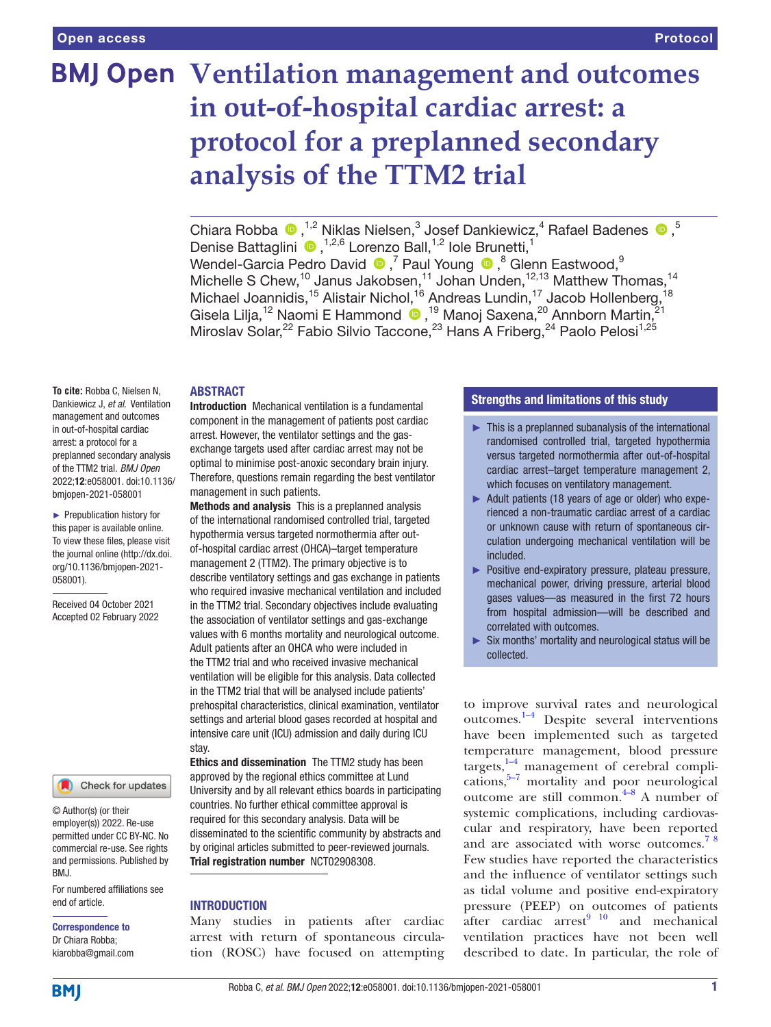# **BMJ Open Ventilation management and outcomes in out-of-hospital cardiac arrest: a protocol for a preplanned secondary analysis of the TTM2 trial**

ChiaraRobba  $\bigcirc$ , <sup>1,2</sup> Niklas Nielsen,<sup>3</sup> Josef Dankiewicz,<sup>4</sup> Rafael Badenes  $\bigcirc$ ,<sup>5</sup> Denise Battaglini <sup>®</sup>,<sup>1,2,6</sup> Lorenzo Ball,<sup>1,2</sup> Iole Brunetti,<sup>1</sup> Wendel-GarciaPedro David  $\bullet$  ,<sup>7</sup> Paul Young  $\bullet$  ,<sup>8</sup> Glenn Eastwood,<sup>9</sup> Michelle S Chew,<sup>10</sup> Janus Jakobsen,<sup>11</sup> Johan Unden,<sup>12,13</sup> Matthew Thomas,<sup>14</sup> Michael Joannidis,<sup>15</sup> Alistair Nichol,<sup>16</sup> Andreas Lundin,<sup>17</sup> Jacob Hollenberg,<sup>18</sup> GiselaLilja,<sup>12</sup> Naomi E Hammond (D, <sup>19</sup> Manoj Saxena,<sup>20</sup> Annborn Martin,<sup>21</sup> Miroslav Solar,<sup>22</sup> Fabio Silvio Taccone,<sup>23</sup> Hans A Friberg,<sup>24</sup> Paolo Pelosi<sup>1,25</sup>

#### ABSTRACT

**To cite:** Robba C, Nielsen N, Dankiewicz J, *et al*. Ventilation management and outcomes in out-of-hospital cardiac arrest: a protocol for a preplanned secondary analysis of the TTM2 trial. *BMJ Open* 2022;12:e058001. doi:10.1136/ bmjopen-2021-058001

► Prepublication history for this paper is available online. To view these files, please visit the journal online [\(http://dx.doi.](http://dx.doi.org/10.1136/bmjopen-2021-058001) [org/10.1136/bmjopen-2021-](http://dx.doi.org/10.1136/bmjopen-2021-058001) [058001\)](http://dx.doi.org/10.1136/bmjopen-2021-058001).

Received 04 October 2021 Accepted 02 February 2022



#### Check for updates

© Author(s) (or their employer(s)) 2022. Re-use permitted under CC BY-NC. No commercial re-use. See rights and permissions. Published by BMJ.

For numbered affiliations see end of article.

Correspondence to Dr Chiara Robba; kiarobba@gmail.com

Introduction Mechanical ventilation is a fundamental component in the management of patients post cardiac arrest. However, the ventilator settings and the gasexchange targets used after cardiac arrest may not be optimal to minimise post-anoxic secondary brain injury. Therefore, questions remain regarding the best ventilator management in such patients.

Methods and analysis This is a preplanned analysis of the international randomised controlled trial, targeted hypothermia versus targeted normothermia after outof-hospital cardiac arrest (OHCA)–target temperature management 2 (TTM2). The primary objective is to describe ventilatory settings and gas exchange in patients who required invasive mechanical ventilation and included in the TTM2 trial. Secondary objectives include evaluating the association of ventilator settings and gas-exchange values with 6 months mortality and neurological outcome. Adult patients after an OHCA who were included in the TTM2 trial and who received invasive mechanical ventilation will be eligible for this analysis. Data collected in the TTM2 trial that will be analysed include patients' prehospital characteristics, clinical examination, ventilator settings and arterial blood gases recorded at hospital and intensive care unit (ICU) admission and daily during ICU stay.

Ethics and dissemination The TTM2 study has been approved by the regional ethics committee at Lund University and by all relevant ethics boards in participating countries. No further ethical committee approval is required for this secondary analysis. Data will be disseminated to the scientific community by abstracts and by original articles submitted to peer-reviewed journals. Trial registration number <NCT02908308>.

# **INTRODUCTION**

Many studies in patients after cardiac arrest with return of spontaneous circulation (ROSC) have focused on attempting

# Strengths and limitations of this study

- $\blacktriangleright$  This is a preplanned subanalysis of the international randomised controlled trial, targeted hypothermia versus targeted normothermia after out-of-hospital cardiac arrest–target temperature management 2, which focuses on ventilatory management.
- ► Adult patients (18 years of age or older) who experienced a non-traumatic cardiac arrest of a cardiac or unknown cause with return of spontaneous circulation undergoing mechanical ventilation will be included.
- ► Positive end-expiratory pressure, plateau pressure, mechanical power, driving pressure, arterial blood gases values—as measured in the first 72 hours from hospital admission—will be described and correlated with outcomes.
- ► Six months' mortality and neurological status will be collected.

to improve survival rates and neurological outcomes.[1–4](#page-5-0) Despite several interventions have been implemented such as targeted temperature management, blood pressure targets, $1-4$  management of cerebral complications, $5-7$  mortality and poor neurological outcome are still common.<sup> $4-8$ </sup> A number of systemic complications, including cardiovascular and respiratory, have been reported and are associated with worse outcomes.<sup>78</sup> Few studies have reported the characteristics and the influence of ventilator settings such as tidal volume and positive end-expiratory pressure (PEEP) on outcomes of patients after cardiac  $arrest<sup>9 10</sup>$  and mechanical ventilation practices have not been well described to date. In particular, the role of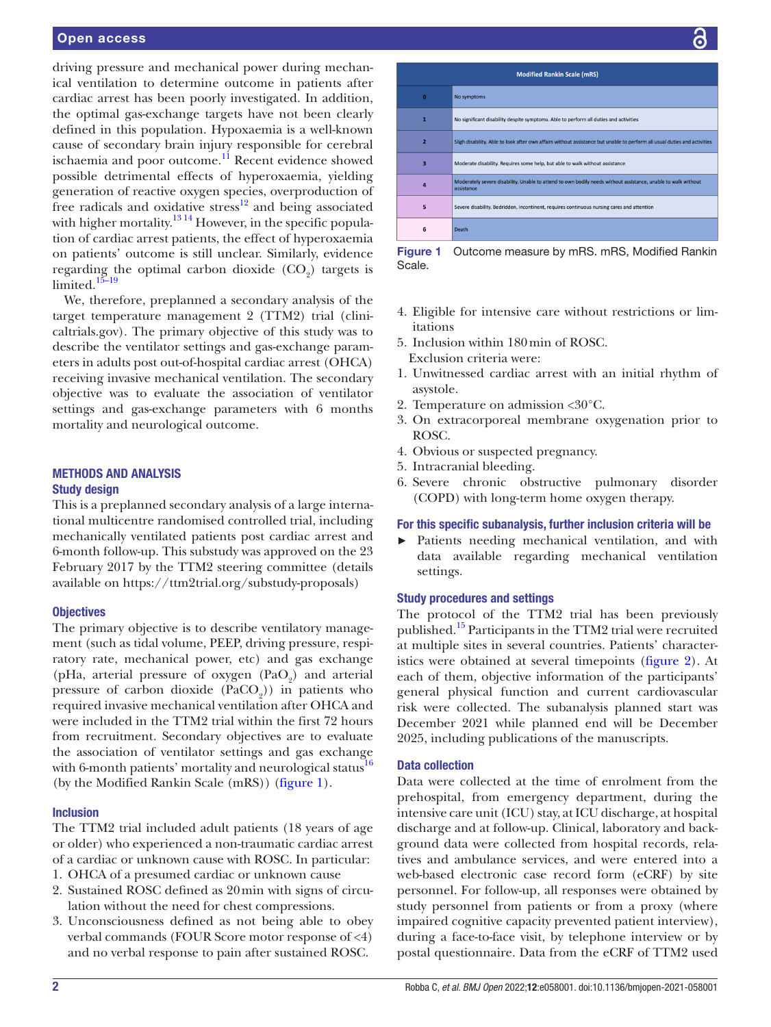## Open access

driving pressure and mechanical power during mechanical ventilation to determine outcome in patients after cardiac arrest has been poorly investigated. In addition, the optimal gas-exchange targets have not been clearly defined in this population. Hypoxaemia is a well-known cause of secondary brain injury responsible for cerebral ischaemia and poor outcome.<sup>[11](#page-5-5)</sup> Recent evidence showed possible detrimental effects of hyperoxaemia, yielding generation of reactive oxygen species, overproduction of free radicals and oxidative stress<sup>12</sup> and being associated with higher mortality.<sup>1314</sup> However, in the specific population of cardiac arrest patients, the effect of hyperoxaemia on patients' outcome is still unclear. Similarly, evidence regarding the optimal carbon dioxide  $(CO<sub>2</sub>)$  targets is limited. $15-19$ 

We, therefore, preplanned a secondary analysis of the target temperature management 2 (TTM2) trial (clinicaltrials.gov). The primary objective of this study was to describe the ventilator settings and gas-exchange parameters in adults post out-of-hospital cardiac arrest (OHCA) receiving invasive mechanical ventilation. The secondary objective was to evaluate the association of ventilator settings and gas-exchange parameters with 6 months mortality and neurological outcome.

# METHODS AND ANALYSIS Study design

This is a preplanned secondary analysis of a large international multicentre randomised controlled trial, including mechanically ventilated patients post cardiac arrest and 6-month follow-up. This substudy was approved on the 23 February 2017 by the TTM2 steering committee (details available on <https://ttm2trial.org/substudy-proposals>)

# **Objectives**

The primary objective is to describe ventilatory management (such as tidal volume, PEEP, driving pressure, respiratory rate, mechanical power, etc) and gas exchange (pHa, arterial pressure of oxygen  $(PaO<sub>2</sub>)$  and arterial pressure of carbon dioxide  $(PaCO<sub>2</sub>)$  in patients who required invasive mechanical ventilation after OHCA and were included in the TTM2 trial within the first 72 hours from recruitment. Secondary objectives are to evaluate the association of ventilator settings and gas exchange with 6-month patients' mortality and neurological status $^{16}$ (by the Modified Rankin Scale (mRS)) [\(figure](#page-1-0) 1).

# Inclusion

The TTM2 trial included adult patients (18 years of age or older) who experienced a non-traumatic cardiac arrest of a cardiac or unknown cause with ROSC. In particular:

- 1. OHCA of a presumed cardiac or unknown cause
- 2. Sustained ROSC defined as 20min with signs of circulation without the need for chest compressions.
- 3. Unconsciousness defined as not being able to obey verbal commands (FOUR Score motor response of <4) and no verbal response to pain after sustained ROSC.

| <b>Modified Rankin Scale (mRS)</b> |                                                                                                                             |  |  |  |  |
|------------------------------------|-----------------------------------------------------------------------------------------------------------------------------|--|--|--|--|
| $\Omega$                           | No symptoms                                                                                                                 |  |  |  |  |
| 1                                  | No significant disability despite symptoms. Able to perform all duties and activities                                       |  |  |  |  |
| 2                                  | Sligh disability. Able to look after own affairs without assistance but unable to perform all usual duties and activities   |  |  |  |  |
| 3                                  | Moderate disability. Requires some help, but able to walk without assistance                                                |  |  |  |  |
| 4                                  | Moderately severe disability. Unable to attend to own bodily needs without assistance, unable to walk without<br>assistance |  |  |  |  |
| 5                                  | Severe disability. Bedridden, incontinent, requires continuous nursing cares and attention                                  |  |  |  |  |
| 6                                  | Death                                                                                                                       |  |  |  |  |

<span id="page-1-0"></span>Figure 1 Outcome measure by mRS. mRS, Modified Rankin Scale.

- 4. Eligible for intensive care without restrictions or limitations
- 5. Inclusion within 180min of ROSC. Exclusion criteria were:
- 1. Unwitnessed cardiac arrest with an initial rhythm of asystole.
- 2. Temperature on admission <30°C.
- 3. On extracorporeal membrane oxygenation prior to ROSC.
- 4. Obvious or suspected pregnancy.
- 5. Intracranial bleeding.
- 6. Severe chronic obstructive pulmonary disorder (COPD) with long-term home oxygen therapy.

#### For this specific subanalysis, further inclusion criteria will be

► Patients needing mechanical ventilation, and with data available regarding mechanical ventilation settings.

# Study procedures and settings

The protocol of the TTM2 trial has been previously published.[15](#page-5-8) Participants in the TTM2 trial were recruited at multiple sites in several countries. Patients' characteristics were obtained at several timepoints ([figure](#page-2-0) 2). At each of them, objective information of the participants' general physical function and current cardiovascular risk were collected. The subanalysis planned start was December 2021 while planned end will be December 2025, including publications of the manuscripts.

## Data collection

Data were collected at the time of enrolment from the prehospital, from emergency department, during the intensive care unit (ICU) stay, at ICU discharge, at hospital discharge and at follow-up. Clinical, laboratory and background data were collected from hospital records, relatives and ambulance services, and were entered into a web-based electronic case record form (eCRF) by site personnel. For follow-up, all responses were obtained by study personnel from patients or from a proxy (where impaired cognitive capacity prevented patient interview), during a face-to-face visit, by telephone interview or by postal questionnaire. Data from the eCRF of TTM2 used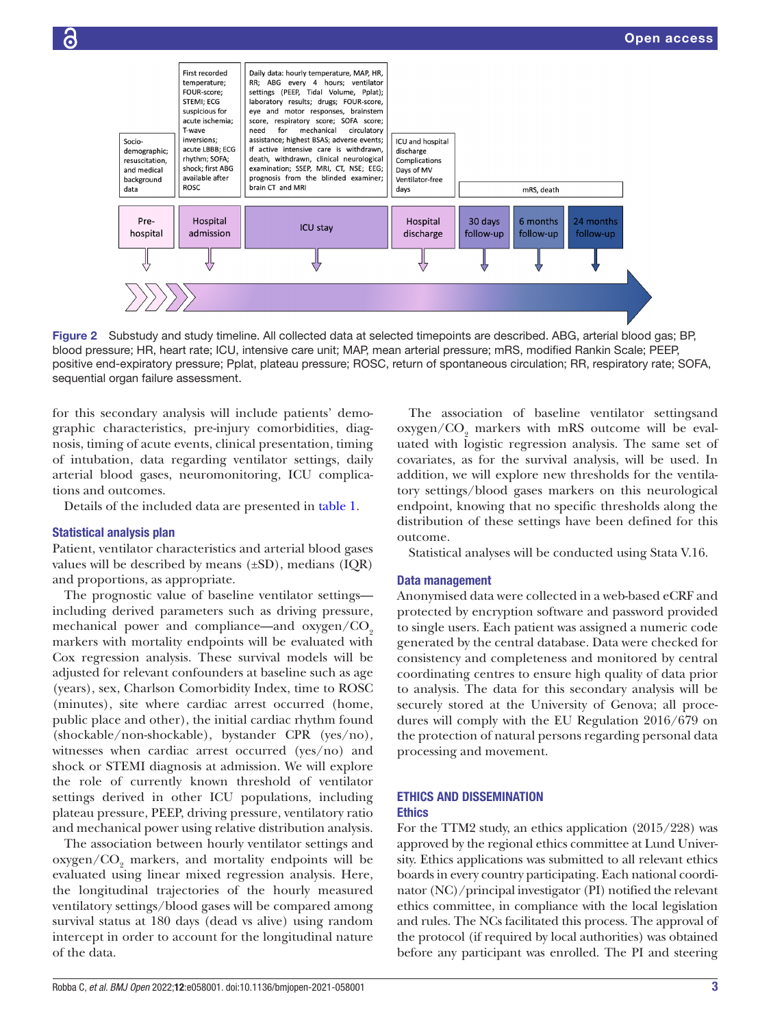

<span id="page-2-0"></span>Figure 2 Substudy and study timeline. All collected data at selected timepoints are described. ABG, arterial blood gas; BP, blood pressure; HR, heart rate; ICU, intensive care unit; MAP, mean arterial pressure; mRS, modified Rankin Scale; PEEP, positive end-expiratory pressure; Pplat, plateau pressure; ROSC, return of spontaneous circulation; RR, respiratory rate; SOFA, sequential organ failure assessment.

for this secondary analysis will include patients' demographic characteristics, pre-injury comorbidities, diagnosis, timing of acute events, clinical presentation, timing of intubation, data regarding ventilator settings, daily arterial blood gases, neuromonitoring, ICU complications and outcomes.

Details of the included data are presented in [table](#page-3-0) 1.

## Statistical analysis plan

Patient, ventilator characteristics and arterial blood gases values will be described by means  $(\pm SD)$ , medians  $(IQR)$ and proportions, as appropriate.

The prognostic value of baseline ventilator settings including derived parameters such as driving pressure, mechanical power and compliance—and  $oxygen/CO<sub>2</sub>$ markers with mortality endpoints will be evaluated with Cox regression analysis. These survival models will be adjusted for relevant confounders at baseline such as age (years), sex, Charlson Comorbidity Index, time to ROSC (minutes), site where cardiac arrest occurred (home, public place and other), the initial cardiac rhythm found (shockable/non-shockable), bystander CPR (yes/no), witnesses when cardiac arrest occurred (yes/no) and shock or STEMI diagnosis at admission. We will explore the role of currently known threshold of ventilator settings derived in other ICU populations, including plateau pressure, PEEP, driving pressure, ventilatory ratio and mechanical power using relative distribution analysis.

The association between hourly ventilator settings and oxygen/CO<sub>2</sub> markers, and mortality endpoints will be evaluated using linear mixed regression analysis. Here, the longitudinal trajectories of the hourly measured ventilatory settings/blood gases will be compared among survival status at 180 days (dead vs alive) using random intercept in order to account for the longitudinal nature of the data.

Robba C, *et al*. *BMJ Open* 2022;12:e058001. doi:10.1136/bmjopen-2021-058001 3

The association of baseline ventilator settingsand  $oxygen/CO<sub>2</sub>$  markers with mRS outcome will be evaluated with logistic regression analysis. The same set of covariates, as for the survival analysis, will be used. In addition, we will explore new thresholds for the ventilatory settings/blood gases markers on this neurological endpoint, knowing that no specific thresholds along the distribution of these settings have been defined for this outcome.

Statistical analyses will be conducted using Stata V.16.

## Data management

Anonymised data were collected in a web-based eCRF and protected by encryption software and password provided to single users. Each patient was assigned a numeric code generated by the central database. Data were checked for consistency and completeness and monitored by central coordinating centres to ensure high quality of data prior to analysis. The data for this secondary analysis will be securely stored at the University of Genova; all procedures will comply with the EU Regulation 2016/679 on the protection of natural persons regarding personal data processing and movement.

#### ETHICS AND DISSEMINATION **Ethics**

For the TTM2 study, an ethics application (2015/228) was approved by the regional ethics committee at Lund University. Ethics applications was submitted to all relevant ethics boards in every country participating. Each national coordinator (NC)/principal investigator (PI) notified the relevant ethics committee, in compliance with the local legislation and rules. The NCs facilitated this process. The approval of the protocol (if required by local authorities) was obtained before any participant was enrolled. The PI and steering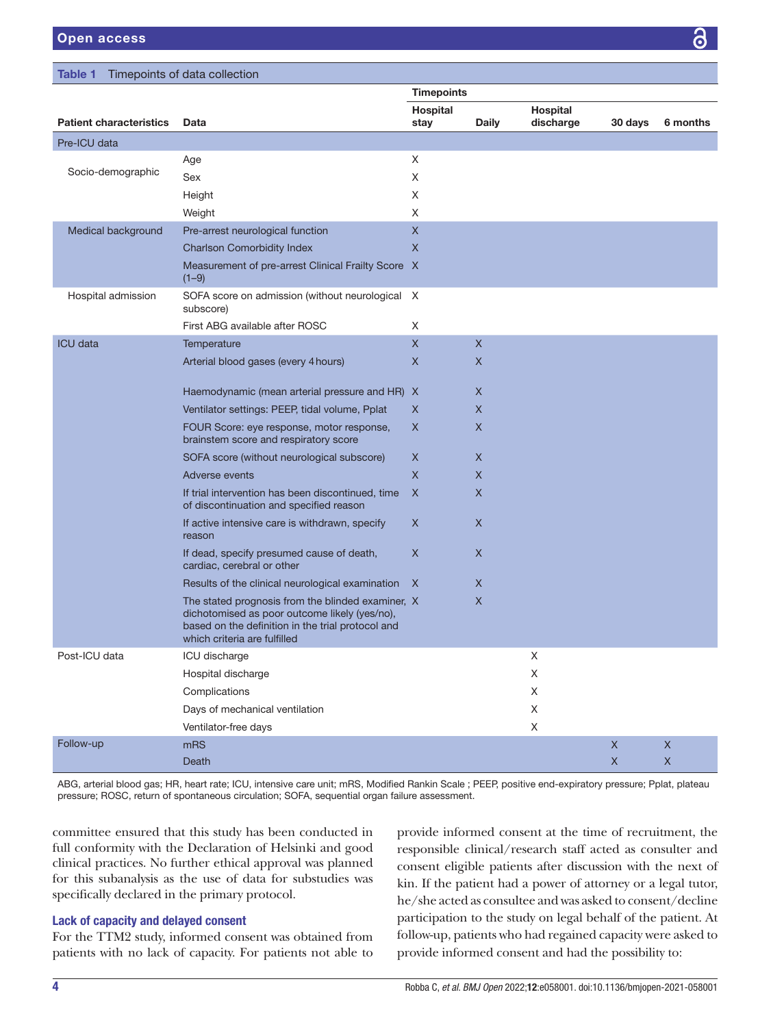<span id="page-3-0"></span>

| Timepoints of data collection<br>Table 1 |                                                                                                                                                                                         |                   |              |                       |                            |                   |  |  |
|------------------------------------------|-----------------------------------------------------------------------------------------------------------------------------------------------------------------------------------------|-------------------|--------------|-----------------------|----------------------------|-------------------|--|--|
|                                          |                                                                                                                                                                                         | <b>Timepoints</b> |              |                       |                            |                   |  |  |
| <b>Patient characteristics</b>           | Data                                                                                                                                                                                    | Hospital<br>stay  | <b>Daily</b> | Hospital<br>discharge | 30 days                    | 6 months          |  |  |
| Pre-ICU data                             |                                                                                                                                                                                         |                   |              |                       |                            |                   |  |  |
|                                          | Age                                                                                                                                                                                     | Χ                 |              |                       |                            |                   |  |  |
| Socio-demographic                        | Sex                                                                                                                                                                                     | X                 |              |                       |                            |                   |  |  |
|                                          | Height                                                                                                                                                                                  | Χ                 |              |                       |                            |                   |  |  |
|                                          | Weight                                                                                                                                                                                  | X                 |              |                       |                            |                   |  |  |
| Medical background                       | Pre-arrest neurological function                                                                                                                                                        | X                 |              |                       |                            |                   |  |  |
|                                          | <b>Charlson Comorbidity Index</b>                                                                                                                                                       | X                 |              |                       |                            |                   |  |  |
|                                          | Measurement of pre-arrest Clinical Frailty Score X<br>$(1-9)$                                                                                                                           |                   |              |                       |                            |                   |  |  |
| Hospital admission                       | SOFA score on admission (without neurological X<br>subscore)                                                                                                                            |                   |              |                       |                            |                   |  |  |
|                                          | First ABG available after ROSC                                                                                                                                                          | Χ                 |              |                       |                            |                   |  |  |
| <b>ICU</b> data                          | Temperature                                                                                                                                                                             | $\overline{X}$    | $\times$     |                       |                            |                   |  |  |
|                                          | Arterial blood gases (every 4 hours)                                                                                                                                                    | X                 | $\times$     |                       |                            |                   |  |  |
|                                          | Haemodynamic (mean arterial pressure and HR) X                                                                                                                                          |                   | X            |                       |                            |                   |  |  |
|                                          | Ventilator settings: PEEP, tidal volume, Pplat                                                                                                                                          | X                 | X            |                       |                            |                   |  |  |
|                                          | FOUR Score: eye response, motor response,<br>brainstem score and respiratory score                                                                                                      | X                 | X            |                       |                            |                   |  |  |
|                                          | SOFA score (without neurological subscore)                                                                                                                                              | X                 | X            |                       |                            |                   |  |  |
|                                          | <b>Adverse events</b>                                                                                                                                                                   | X                 | X            |                       |                            |                   |  |  |
|                                          | If trial intervention has been discontinued, time<br>of discontinuation and specified reason                                                                                            | X                 | X            |                       |                            |                   |  |  |
|                                          | If active intensive care is withdrawn, specify<br>reason                                                                                                                                | X                 | X            |                       |                            |                   |  |  |
|                                          | If dead, specify presumed cause of death,<br>cardiac, cerebral or other                                                                                                                 | X                 | X            |                       |                            |                   |  |  |
|                                          | Results of the clinical neurological examination                                                                                                                                        | X                 | X            |                       |                            |                   |  |  |
|                                          | The stated prognosis from the blinded examiner, X<br>dichotomised as poor outcome likely (yes/no),<br>based on the definition in the trial protocol and<br>which criteria are fulfilled |                   | $\mathsf{X}$ |                       |                            |                   |  |  |
| Post-ICU data                            | ICU discharge                                                                                                                                                                           |                   |              | $\mathsf X$           |                            |                   |  |  |
|                                          | Hospital discharge                                                                                                                                                                      |                   |              | X                     |                            |                   |  |  |
|                                          | Complications                                                                                                                                                                           |                   |              | $\mathsf X$           |                            |                   |  |  |
|                                          | Days of mechanical ventilation                                                                                                                                                          |                   |              | X                     |                            |                   |  |  |
|                                          | Ventilator-free days                                                                                                                                                                    |                   |              | $\mathsf X$           |                            |                   |  |  |
| Follow-up                                | mRS<br>Death                                                                                                                                                                            |                   |              |                       | $\mathsf X$<br>$\mathsf X$ | X<br>$\mathsf{X}$ |  |  |
|                                          |                                                                                                                                                                                         |                   |              |                       |                            |                   |  |  |

ABG, arterial blood gas; HR, heart rate; ICU, intensive care unit; mRS, Modified Rankin Scale ; PEEP, positive end-expiratory pressure; Pplat, plateau pressure; ROSC, return of spontaneous circulation; SOFA, sequential organ failure assessment.

committee ensured that this study has been conducted in full conformity with the Declaration of Helsinki and good clinical practices. No further ethical approval was planned for this subanalysis as the use of data for substudies was specifically declared in the primary protocol.

# Lack of capacity and delayed consent

For the TTM2 study, informed consent was obtained from patients with no lack of capacity. For patients not able to

provide informed consent at the time of recruitment, the responsible clinical/research staff acted as consulter and consent eligible patients after discussion with the next of kin. If the patient had a power of attorney or a legal tutor, he/she acted as consultee and was asked to consent/decline participation to the study on legal behalf of the patient. At follow-up, patients who had regained capacity were asked to provide informed consent and had the possibility to: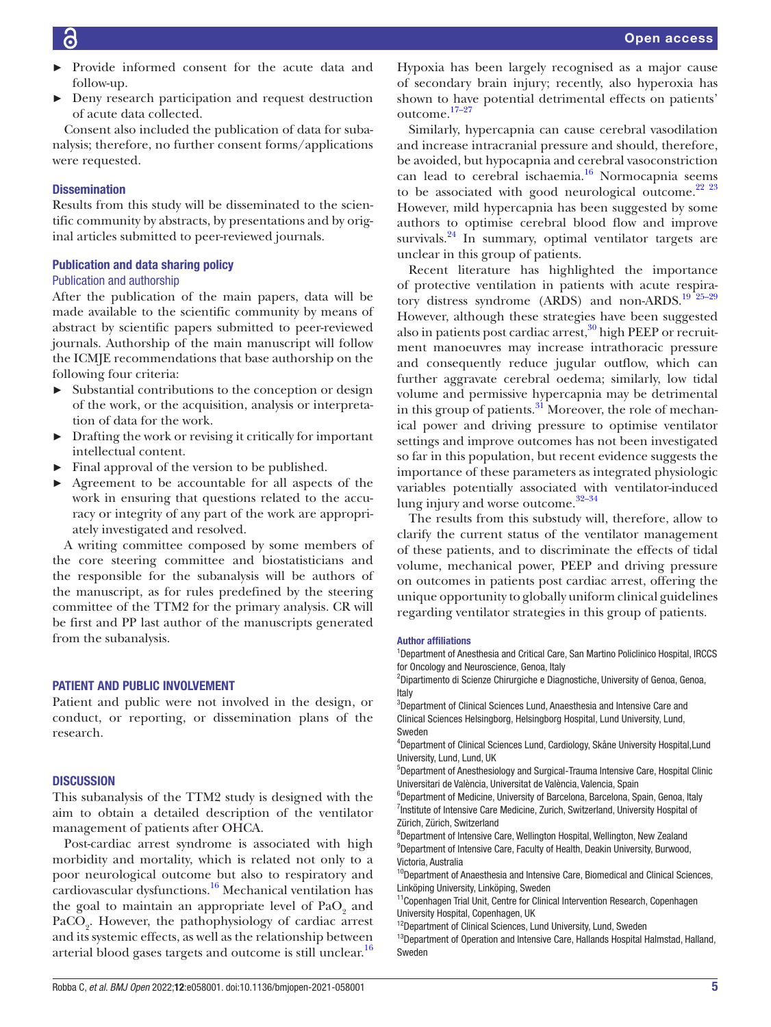- Provide informed consent for the acute data and follow-up.
- ► Deny research participation and request destruction of acute data collected.

Consent also included the publication of data for subanalysis; therefore, no further consent forms/applications were requested.

# **Dissemination**

Results from this study will be disseminated to the scientific community by abstracts, by presentations and by original articles submitted to peer-reviewed journals.

## Publication and data sharing policy

#### Publication and authorship

After the publication of the main papers, data will be made available to the scientific community by means of abstract by scientific papers submitted to peer-reviewed journals. Authorship of the main manuscript will follow the ICMJE recommendations that base authorship on the following four criteria:

- ► Substantial contributions to the conception or design of the work, or the acquisition, analysis or interpretation of data for the work.
- ► Drafting the work or revising it critically for important intellectual content.
- ► Final approval of the version to be published.
- ► Agreement to be accountable for all aspects of the work in ensuring that questions related to the accuracy or integrity of any part of the work are appropriately investigated and resolved.

A writing committee composed by some members of the core steering committee and biostatisticians and the responsible for the subanalysis will be authors of the manuscript, as for rules predefined by the steering committee of the TTM2 for the primary analysis. CR will be first and PP last author of the manuscripts generated from the subanalysis.

#### PATIENT AND PUBLIC INVOLVEMENT

Patient and public were not involved in the design, or conduct, or reporting, or dissemination plans of the research.

#### **DISCUSSION**

This subanalysis of the TTM2 study is designed with the aim to obtain a detailed description of the ventilator management of patients after OHCA.

Post-cardiac arrest syndrome is associated with high morbidity and mortality, which is related not only to a poor neurological outcome but also to respiratory and cardiovascular dysfunctions.<sup>16</sup> Mechanical ventilation has the goal to maintain an appropriate level of  $\mathrm{PaO}_{2}$  and PaCO<sub>2</sub>. However, the pathophysiology of cardiac arrest and its systemic effects, as well as the relationship between arterial blood gases targets and outcome is still unclear. $16$  Hypoxia has been largely recognised as a major cause of secondary brain injury; recently, also hyperoxia has shown to have potential detrimental effects on patients' outcome.[17–27](#page-5-10)

Similarly, hypercapnia can cause cerebral vasodilation and increase intracranial pressure and should, therefore, be avoided, but hypocapnia and cerebral vasoconstriction can lead to cerebral ischaemia.[16](#page-5-9) Normocapnia seems to be associated with good neurological outcome.<sup>[22 23](#page-5-11)</sup> However, mild hypercapnia has been suggested by some authors to optimise cerebral blood flow and improve survivals. $^{24}$  $^{24}$  $^{24}$  In summary, optimal ventilator targets are unclear in this group of patients.

Recent literature has highlighted the importance of protective ventilation in patients with acute respiratory distress syndrome (ARDS) and non-ARDS.<sup>19</sup><sup>25-29</sup> However, although these strategies have been suggested also in patients post cardiac arrest, $30$  high PEEP or recruitment manoeuvres may increase intrathoracic pressure and consequently reduce jugular outflow, which can further aggravate cerebral oedema; similarly, low tidal volume and permissive hypercapnia may be detrimental in this group of patients.<sup>[31](#page-6-1)</sup> Moreover, the role of mechanical power and driving pressure to optimise ventilator settings and improve outcomes has not been investigated so far in this population, but recent evidence suggests the importance of these parameters as integrated physiologic variables potentially associated with ventilator-induced lung injury and worse outcome. $32-34$ 

The results from this substudy will, therefore, allow to clarify the current status of the ventilator management of these patients, and to discriminate the effects of tidal volume, mechanical power, PEEP and driving pressure on outcomes in patients post cardiac arrest, offering the unique opportunity to globally uniform clinical guidelines regarding ventilator strategies in this group of patients.

#### Author affiliations

<sup>1</sup>Department of Anesthesia and Critical Care, San Martino Policlinico Hospital, IRCCS for Oncology and Neuroscience, Genoa, Italy

<sup>2</sup>Dipartimento di Scienze Chirurgiche e Diagnostiche, University of Genoa, Genoa, Italy

3 Department of Clinical Sciences Lund, Anaesthesia and Intensive Care and Clinical Sciences Helsingborg, Helsingborg Hospital, Lund University, Lund, Sweden

4 Department of Clinical Sciences Lund, Cardiology, Skåne University Hospital,Lund University, Lund, Lund, UK

5 Department of Anesthesiology and Surgical-Trauma Intensive Care, Hospital Clinic Universitari de València, Universitat de València, Valencia, Spain

<sup>6</sup>Department of Medicine, University of Barcelona, Barcelona, Spain, Genoa, Italy <sup>7</sup>Institute of Intensive Care Medicine, Zurich, Switzerland, University Hospital of Zürich, Zürich, Switzerland

<sup>8</sup>Department of Intensive Care, Wellington Hospital, Wellington, New Zealand <sup>9</sup>Department of Intensive Care, Faculty of Health, Deakin University, Burwood, Victoria, Australia

<sup>10</sup>Department of Anaesthesia and Intensive Care, Biomedical and Clinical Sciences, Linköping University, Linköping, Sweden

<sup>11</sup> Copenhagen Trial Unit, Centre for Clinical Intervention Research, Copenhagen University Hospital, Copenhagen, UK

<sup>12</sup>Department of Clinical Sciences, Lund University, Lund, Sweden

 $^{13}$ Department of Operation and Intensive Care, Hallands Hospital Halmstad, Halland, Sweden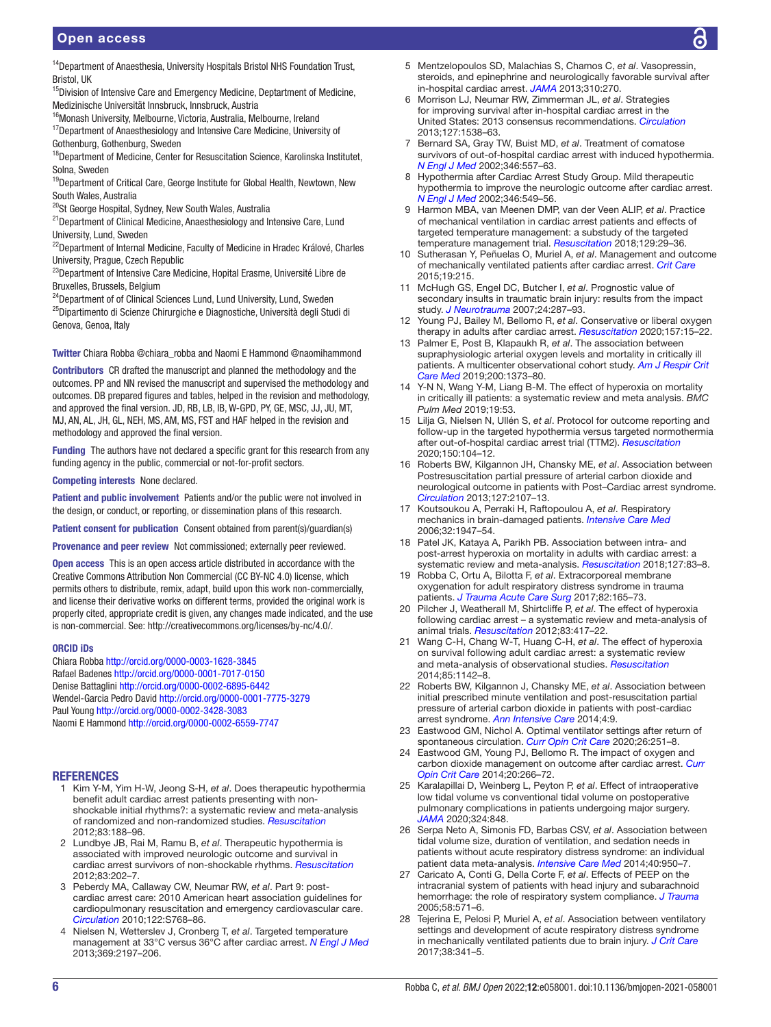# Open access

<sup>15</sup>Division of Intensive Care and Emergency Medicine, Deptartment of Medicine, Medizinische Universität Innsbruck, Innsbruck, Austria

- <sup>16</sup>Monash University, Melbourne, Victoria, Australia, Melbourne, Ireland
- <sup>17</sup>Department of Anaesthesiology and Intensive Care Medicine, University of Gothenburg, Gothenburg, Sweden

<sup>18</sup>Department of Medicine, Center for Resuscitation Science, Karolinska Institutet, Solna, Sweden

<sup>19</sup>Department of Critical Care, George Institute for Global Health, Newtown, New South Wales, Australia

<sup>20</sup>St George Hospital, Sydney, New South Wales, Australia

21Department of Clinical Medicine, Anaesthesiology and Intensive Care, Lund University, Lund, Sweden

<sup>22</sup>Department of Internal Medicine, Faculty of Medicine in Hradec Králové, Charles University, Prague, Czech Republic

<sup>23</sup>Department of Intensive Care Medicine, Hopital Erasme, Université Libre de Bruxelles, Brussels, Belgium

<sup>24</sup>Department of of Clinical Sciences Lund, Lund University, Lund, Sweden <sup>25</sup>Dipartimento di Scienze Chirurgiche e Diagnostiche, Università degli Studi di Genova, Genoa, Italy

Twitter Chiara Robba [@chiara\\_robba](https://twitter.com/chiara_robba) and Naomi E Hammond [@naomihammond](https://twitter.com/naomihammond)

Contributors CR drafted the manuscript and planned the methodology and the outcomes. PP and NN revised the manuscript and supervised the methodology and outcomes. DB prepared figures and tables, helped in the revision and methodology, and approved the final version. JD, RB, LB, IB, W-GPD, PY, GE, MSC, JJ, JU, MT, MJ, AN, AL, JH, GL, NEH, MS, AM, MS, FST and HAF helped in the revision and methodology and approved the final version.

Funding The authors have not declared a specific grant for this research from any funding agency in the public, commercial or not-for-profit sectors.

Competing interests None declared.

Patient and public involvement Patients and/or the public were not involved in the design, or conduct, or reporting, or dissemination plans of this research.

Patient consent for publication Consent obtained from parent(s)/guardian(s)

Provenance and peer review Not commissioned; externally peer reviewed.

Open access This is an open access article distributed in accordance with the Creative Commons Attribution Non Commercial (CC BY-NC 4.0) license, which permits others to distribute, remix, adapt, build upon this work non-commercially, and license their derivative works on different terms, provided the original work is properly cited, appropriate credit is given, any changes made indicated, and the use is non-commercial. See: [http://creativecommons.org/licenses/by-nc/4.0/.](http://creativecommons.org/licenses/by-nc/4.0/)

#### ORCID iDs

Chiara Robba <http://orcid.org/0000-0003-1628-3845> Rafael Badenes<http://orcid.org/0000-0001-7017-0150> Denise Battaglini<http://orcid.org/0000-0002-6895-6442> Wendel-Garcia Pedro David<http://orcid.org/0000-0001-7775-3279> Paul Young <http://orcid.org/0000-0002-3428-3083> Naomi E Hammond<http://orcid.org/0000-0002-6559-7747>

#### REFERENCES

- <span id="page-5-0"></span>1 Kim Y-M, Yim H-W, Jeong S-H, *et al*. Does therapeutic hypothermia benefit adult cardiac arrest patients presenting with nonshockable initial rhythms?: a systematic review and meta-analysis of randomized and non-randomized studies. *[Resuscitation](http://dx.doi.org/10.1016/j.resuscitation.2011.07.031)* 2012;83:188–96.
- 2 Lundbye JB, Rai M, Ramu B, *et al*. Therapeutic hypothermia is associated with improved neurologic outcome and survival in cardiac arrest survivors of non-shockable rhythms. *[Resuscitation](http://dx.doi.org/10.1016/j.resuscitation.2011.08.005)* 2012;83:202–7.
- 3 Peberdy MA, Callaway CW, Neumar RW, *et al*. Part 9: postcardiac arrest care: 2010 American heart association guidelines for cardiopulmonary resuscitation and emergency cardiovascular care. *[Circulation](http://dx.doi.org/10.1161/CIRCULATIONAHA.110.971002)* 2010;122:S768–86.
- <span id="page-5-2"></span>4 Nielsen N, Wetterslev J, Cronberg T, *et al*. Targeted temperature management at 33°C versus 36°C after cardiac arrest. *[N Engl J Med](http://dx.doi.org/10.1056/NEJMoa1310519)* 2013;369:2197–206.
- <span id="page-5-1"></span>5 Mentzelopoulos SD, Malachias S, Chamos C, *et al*. Vasopressin, steroids, and epinephrine and neurologically favorable survival after in-hospital cardiac arrest. *[JAMA](http://dx.doi.org/10.1001/jama.2013.7832)* 2013;310:270.
- 6 Morrison LJ, Neumar RW, Zimmerman JL, *et al*. Strategies for improving survival after in-hospital cardiac arrest in the United States: 2013 consensus recommendations. *[Circulation](http://dx.doi.org/10.1161/CIR.0b013e31828b2770)* 2013;127:1538–63.
- <span id="page-5-3"></span>7 Bernard SA, Gray TW, Buist MD, *et al*. Treatment of comatose survivors of out-of-hospital cardiac arrest with induced hypothermia. *[N Engl J Med](http://dx.doi.org/10.1056/NEJMoa003289)* 2002;346:557–63.
- 8 Hypothermia after Cardiac Arrest Study Group. Mild therapeutic hypothermia to improve the neurologic outcome after cardiac arrest. *[N Engl J Med](http://dx.doi.org/10.1056/NEJMoa012689)* 2002;346:549–56.
- <span id="page-5-4"></span>9 Harmon MBA, van Meenen DMP, van der Veen ALIP, *et al*. Practice of mechanical ventilation in cardiac arrest patients and effects of targeted temperature management: a substudy of the targeted temperature management trial. *[Resuscitation](http://dx.doi.org/10.1016/j.resuscitation.2018.04.040)* 2018;129:29–36.
- 10 Sutherasan Y, Peñuelas O, Muriel A, *et al*. Management and outcome of mechanically ventilated patients after cardiac arrest. *[Crit Care](http://dx.doi.org/10.1186/s13054-015-0922-9)* 2015;19:215.
- <span id="page-5-5"></span>11 McHugh GS, Engel DC, Butcher I, *et al*. Prognostic value of secondary insults in traumatic brain injury: results from the impact study. *[J Neurotrauma](http://dx.doi.org/10.1089/neu.2006.0031)* 2007;24:287–93.
- <span id="page-5-6"></span>12 Young PJ, Bailey M, Bellomo R, *et al*. Conservative or liberal oxygen therapy in adults after cardiac arrest. *[Resuscitation](http://dx.doi.org/10.1016/j.resuscitation.2020.09.036)* 2020;157:15–22.
- <span id="page-5-7"></span>13 Palmer E, Post B, Klapaukh R, *et al*. The association between supraphysiologic arterial oxygen levels and mortality in critically ill patients. A multicenter observational cohort study. *[Am J Respir Crit](http://dx.doi.org/10.1164/rccm.201904-0849OC)  [Care Med](http://dx.doi.org/10.1164/rccm.201904-0849OC)* 2019;200:1373–80.
- 14 Y-N N, Wang Y-M, Liang B-M. The effect of hyperoxia on mortality in critically ill patients: a systematic review and meta analysis. *BMC Pulm Med* 2019;19:53.
- <span id="page-5-8"></span>15 Lilja G, Nielsen N, Ullén S, *et al*. Protocol for outcome reporting and follow-up in the targeted hypothermia versus targeted normothermia after out-of-hospital cardiac arrest trial (TTM2). *[Resuscitation](http://dx.doi.org/10.1016/j.resuscitation.2020.03.004)* 2020;150:104–12.
- <span id="page-5-9"></span>16 Roberts BW, Kilgannon JH, Chansky ME, *et al*. Association between Postresuscitation partial pressure of arterial carbon dioxide and neurological outcome in patients with Post–Cardiac arrest syndrome. *[Circulation](http://dx.doi.org/10.1161/CIRCULATIONAHA.112.000168)* 2013;127:2107–13.
- <span id="page-5-10"></span>17 Koutsoukou A, Perraki H, Raftopoulou A, *et al*. Respiratory mechanics in brain-damaged patients. *[Intensive Care Med](http://dx.doi.org/10.1007/s00134-006-0406-0)* 2006;32:1947–54.
- 18 Patel JK, Kataya A, Parikh PB. Association between intra- and post-arrest hyperoxia on mortality in adults with cardiac arrest: a systematic review and meta-analysis. *[Resuscitation](http://dx.doi.org/10.1016/j.resuscitation.2018.04.008)* 2018;127:83–8.
- <span id="page-5-13"></span>19 Robba C, Ortu A, Bilotta F, *et al*. Extracorporeal membrane oxygenation for adult respiratory distress syndrome in trauma patients. *[J Trauma Acute Care Surg](http://dx.doi.org/10.1097/TA.0000000000001276)* 2017;82:165–73.
- 20 Pilcher J, Weatherall M, Shirtcliffe P, *et al*. The effect of hyperoxia following cardiac arrest – a systematic review and meta-analysis of animal trials. *[Resuscitation](http://dx.doi.org/10.1016/j.resuscitation.2011.12.021)* 2012;83:417–22.
- 21 Wang C-H, Chang W-T, Huang C-H, *et al*. The effect of hyperoxia on survival following adult cardiac arrest: a systematic review and meta-analysis of observational studies. *[Resuscitation](http://dx.doi.org/10.1016/j.resuscitation.2014.05.021)* 2014;85:1142–8.
- <span id="page-5-11"></span>22 Roberts BW, Kilgannon J, Chansky ME, *et al*. Association between initial prescribed minute ventilation and post-resuscitation partial pressure of arterial carbon dioxide in patients with post-cardiac arrest syndrome. *[Ann Intensive Care](http://dx.doi.org/10.1186/2110-5820-4-9)* 2014;4:9.
- 23 Eastwood GM, Nichol A. Optimal ventilator settings after return of spontaneous circulation. *[Curr Opin Crit Care](http://dx.doi.org/10.1097/MCC.0000000000000720)* 2020;26:251–8.
- <span id="page-5-12"></span>24 Eastwood GM, Young PJ, Bellomo R. The impact of oxygen and carbon dioxide management on outcome after cardiac arrest. *[Curr](http://dx.doi.org/10.1097/MCC.0000000000000084)  [Opin Crit Care](http://dx.doi.org/10.1097/MCC.0000000000000084)* 2014;20:266–72.
- 25 Karalapillai D, Weinberg L, Peyton P, *et al*. Effect of intraoperative low tidal volume vs conventional tidal volume on postoperative pulmonary complications in patients undergoing major surgery. *[JAMA](http://dx.doi.org/10.1001/jama.2020.12866)* 2020;324:848.
- 26 Serpa Neto A, Simonis FD, Barbas CSV, *et al*. Association between tidal volume size, duration of ventilation, and sedation needs in patients without acute respiratory distress syndrome: an individual patient data meta-analysis. *[Intensive Care Med](http://dx.doi.org/10.1007/s00134-014-3318-4)* 2014;40:950–7.
- 27 Caricato A, Conti G, Della Corte F, *et al*. Effects of PEEP on the intracranial system of patients with head injury and subarachnoid hemorrhage: the role of respiratory system compliance. *[J Trauma](http://dx.doi.org/10.1097/01.TA.0000152806.19198.DB)* 2005;58:571–6.
- 28 Tejerina E, Pelosi P, Muriel A, *et al*. Association between ventilatory settings and development of acute respiratory distress syndrome in mechanically ventilated patients due to brain injury. *[J Crit Care](http://dx.doi.org/10.1016/j.jcrc.2016.11.010)* 2017;38:341–5.